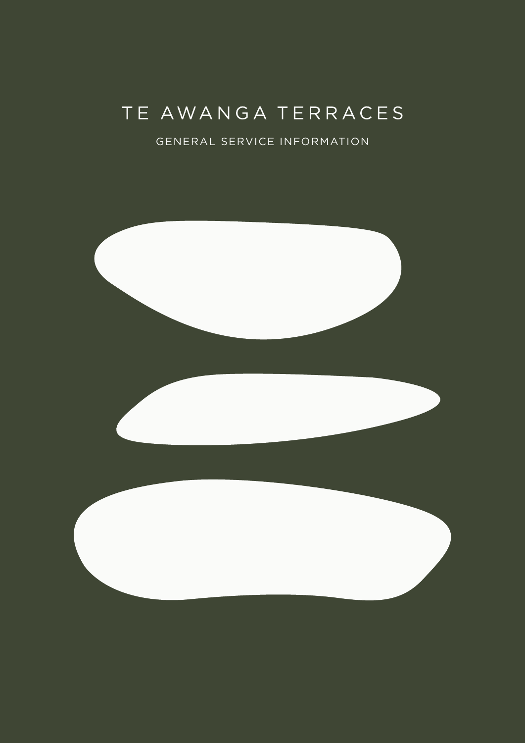# TE AWANGA TERRACES

### GENERAL SERVICE INFORMATION

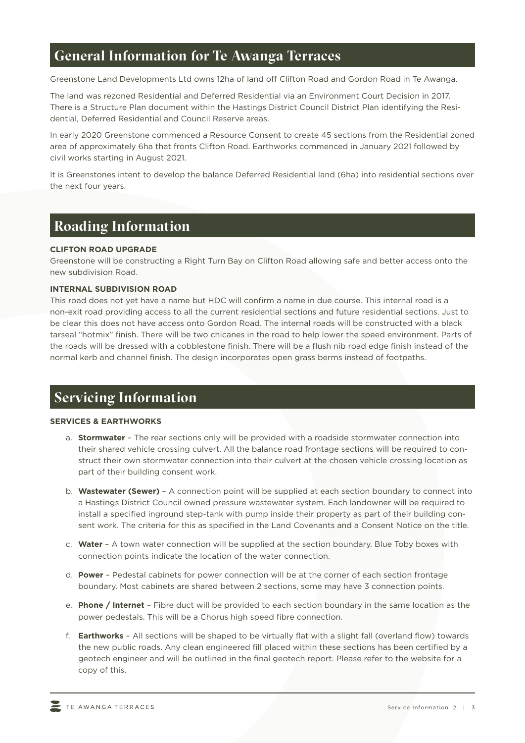# **General Information for Te Awanga Terraces**

Greenstone Land Developments Ltd owns 12ha of land off Clifton Road and Gordon Road in Te Awanga.

The land was rezoned Residential and Deferred Residential via an Environment Court Decision in 2017. There is a Structure Plan document within the Hastings District Council District Plan identifying the Residential, Deferred Residential and Council Reserve areas.

In early 2020 Greenstone commenced a Resource Consent to create 45 sections from the Residential zoned area of approximately 6ha that fronts Clifton Road. Earthworks commenced in January 2021 followed by civil works starting in August 2021.

It is Greenstones intent to develop the balance Deferred Residential land (6ha) into residential sections over the next four years.

## **Roading Information**

### **CLIFTON ROAD UPGRADE**

Greenstone will be constructing a Right Turn Bay on Clifton Road allowing safe and better access onto the new subdivision Road.

### **INTERNAL SUBDIVISION ROAD**

This road does not yet have a name but HDC will confirm a name in due course. This internal road is a non-exit road providing access to all the current residential sections and future residential sections. Just to be clear this does not have access onto Gordon Road. The internal roads will be constructed with a black tarseal "hotmix" finish. There will be two chicanes in the road to help lower the speed environment. Parts of the roads will be dressed with a cobblestone finish. There will be a flush nib road edge finish instead of the normal kerb and channel finish. The design incorporates open grass berms instead of footpaths.

# **Servicing Information**

### **SERVICES & EARTHWORKS**

- a. **Stormwater** The rear sections only will be provided with a roadside stormwater connection into their shared vehicle crossing culvert. All the balance road frontage sections will be required to construct their own stormwater connection into their culvert at the chosen vehicle crossing location as part of their building consent work.
- b. **Wastewater (Sewer)**  A connection point will be supplied at each section boundary to connect into a Hastings District Council owned pressure wastewater system. Each landowner will be required to install a specified inground step-tank with pump inside their property as part of their building consent work. The criteria for this as specified in the Land Covenants and a Consent Notice on the title.
- c. **Water**  A town water connection will be supplied at the section boundary. Blue Toby boxes with connection points indicate the location of the water connection.
- d. **Power**  Pedestal cabinets for power connection will be at the corner of each section frontage boundary. Most cabinets are shared between 2 sections, some may have 3 connection points.
- e. **Phone / Internet**  Fibre duct will be provided to each section boundary in the same location as the power pedestals. This will be a Chorus high speed fibre connection.
- f. **Earthworks**  All sections will be shaped to be virtually flat with a slight fall (overland flow) towards the new public roads. Any clean engineered fill placed within these sections has been certified by a geotech engineer and will be outlined in the final geotech report. Please refer to the website for a copy of this.